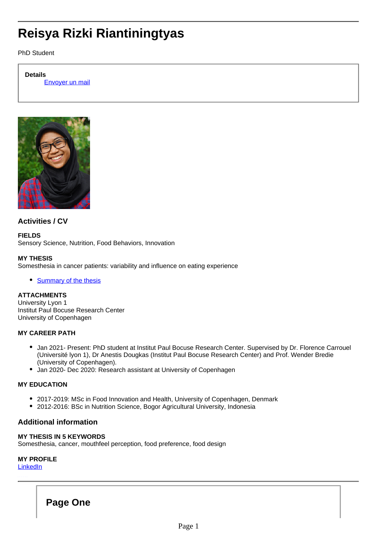# **Reisya Rizki Riantiningtyas**

PhD Student

#### **Details**

Envoyer un mail



# **Activities / CV**

**FIELDS** Sensory Science, Nutrition, Food Behaviors, Innovation

### **MY THESIS**

Somesthesia in cancer patients: variability and influence on eating experience

• [Summary of the thesis](http://research.institutpaulbocuse.com/en/doctoral-programme-/somesthesia-in-cancer-patients-variability-and-influence-on-eating-experience-15148.kjsp?RH=1464939995608)

# **ATTACHMENTS**

University Lyon 1 Institut Paul Bocuse Research Center University of Copenhagen

### **MY CAREER PATH**

- Jan 2021- Present: PhD student at Institut Paul Bocuse Research Center. Supervised by Dr. Florence Carrouel (Université lyon 1), Dr Anestis Dougkas (Institut Paul Bocuse Research Center) and Prof. Wender Bredie (University of Copenhagen).
- Jan 2020- Dec 2020: Research assistant at University of Copenhagen

### **MY EDUCATION**

- 2017-2019: MSc in Food Innovation and Health, University of Copenhagen, Denmark
- 2012-2016: BSc in Nutrition Science, Bogor Agricultural University, Indonesia

# **Additional information**

## **MY THESIS IN 5 KEYWORDS**

Somesthesia, cancer, mouthfeel perception, food preference, food design

### **MY PROFILE**

**[LinkedIn](https://dk.linkedin.com/in/reisyarriantiningtyas)** 

. . . . . .